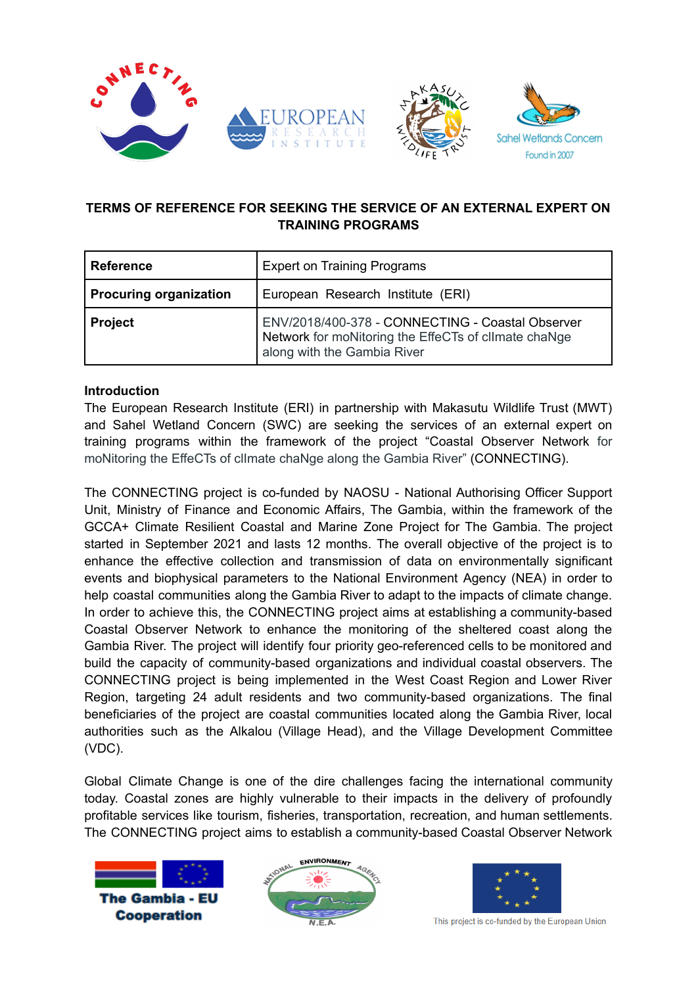



# **TERMS OF REFERENCE FOR SEEKING THE SERVICE OF AN EXTERNAL EXPERT ON TRAINING PROGRAMS**

| <b>Reference</b>              | <b>Expert on Training Programs</b>                                                                                                      |  |
|-------------------------------|-----------------------------------------------------------------------------------------------------------------------------------------|--|
| <b>Procuring organization</b> | European Research Institute (ERI)                                                                                                       |  |
| <b>Project</b>                | ENV/2018/400-378 - CONNECTING - Coastal Observer<br>Network for moNitoring the EffeCTs of cllmate chaNge<br>along with the Gambia River |  |

### **Introduction**

The European Research Institute (ERI) in partnership with Makasutu Wildlife Trust (MWT) and Sahel Wetland Concern (SWC) are seeking the services of an external expert on training programs within the framework of the project "Coastal Observer Network for moNitoring the EffeCTs of clImate chaNge along the Gambia River" (CONNECTING).

The CONNECTING project is co-funded by NAOSU - National Authorising Officer Support Unit, Ministry of Finance and Economic Affairs, The Gambia, within the framework of the GCCA+ Climate Resilient Coastal and Marine Zone Project for The Gambia. The project started in September 2021 and lasts 12 months. The overall objective of the project is to enhance the effective collection and transmission of data on environmentally significant events and biophysical parameters to the National Environment Agency (NEA) in order to help coastal communities along the Gambia River to adapt to the impacts of climate change. In order to achieve this, the CONNECTING project aims at establishing a community-based Coastal Observer Network to enhance the monitoring of the sheltered coast along the Gambia River. The project will identify four priority geo-referenced cells to be monitored and build the capacity of community-based organizations and individual coastal observers. The CONNECTING project is being implemented in the West Coast Region and Lower River Region, targeting 24 adult residents and two community-based organizations. The final beneficiaries of the project are coastal communities located along the Gambia River, local authorities such as the Alkalou (Village Head), and the Village Development Committee (VDC).

Global Climate Change is one of the dire challenges facing the international community today. Coastal zones are highly vulnerable to their impacts in the delivery of profoundly profitable services like tourism, fisheries, transportation, recreation, and human settlements. The CONNECTING project aims to establish a community-based Coastal Observer Network







This project is co-funded by the European Union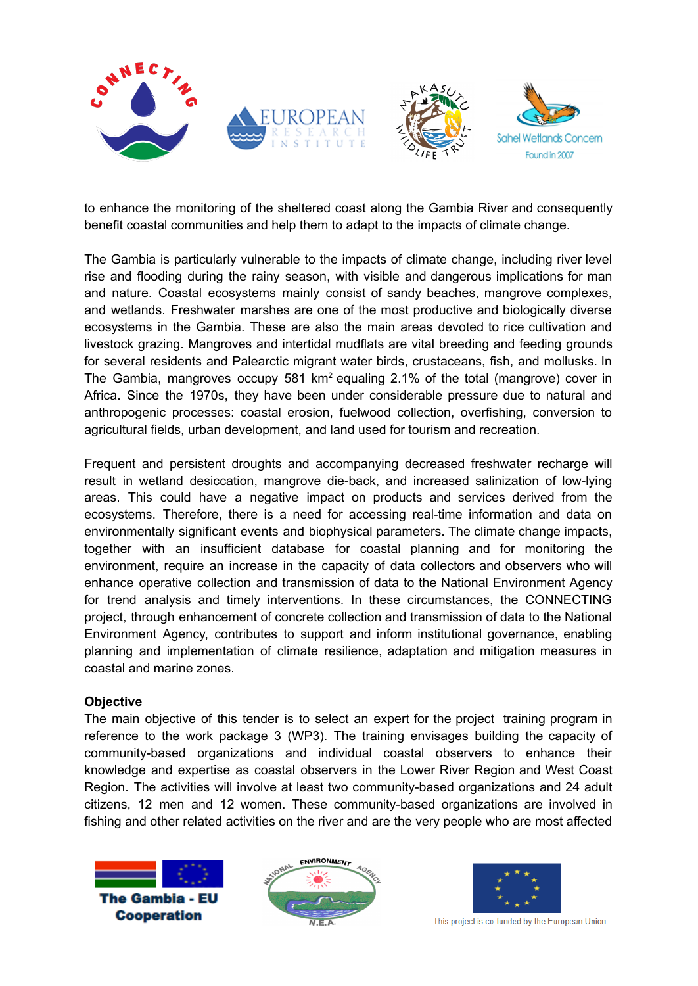

to enhance the monitoring of the sheltered coast along the Gambia River and consequently benefit coastal communities and help them to adapt to the impacts of climate change.

The Gambia is particularly vulnerable to the impacts of climate change, including river level rise and flooding during the rainy season, with visible and dangerous implications for man and nature. Coastal ecosystems mainly consist of sandy beaches, mangrove complexes, and wetlands. Freshwater marshes are one of the most productive and biologically diverse ecosystems in the Gambia. These are also the main areas devoted to rice cultivation and livestock grazing. Mangroves and intertidal mudflats are vital breeding and feeding grounds for several residents and Palearctic migrant water birds, crustaceans, fish, and mollusks. In The Gambia, mangroves occupy 581 km<sup>2</sup> equaling 2.1% of the total (mangrove) cover in Africa. Since the 1970s, they have been under considerable pressure due to natural and anthropogenic processes: coastal erosion, fuelwood collection, overfishing, conversion to agricultural fields, urban development, and land used for tourism and recreation.

Frequent and persistent droughts and accompanying decreased freshwater recharge will result in wetland desiccation, mangrove die-back, and increased salinization of low-lying areas. This could have a negative impact on products and services derived from the ecosystems. Therefore, there is a need for accessing real-time information and data on environmentally significant events and biophysical parameters. The climate change impacts, together with an insufficient database for coastal planning and for monitoring the environment, require an increase in the capacity of data collectors and observers who will enhance operative collection and transmission of data to the National Environment Agency for trend analysis and timely interventions. In these circumstances, the CONNECTING project, through enhancement of concrete collection and transmission of data to the National Environment Agency, contributes to support and inform institutional governance, enabling planning and implementation of climate resilience, adaptation and mitigation measures in coastal and marine zones.

#### **Objective**

The main objective of this tender is to select an expert for the project training program in reference to the work package 3 (WP3). The training envisages building the capacity of community-based organizations and individual coastal observers to enhance their knowledge and expertise as coastal observers in the Lower River Region and West Coast Region. The activities will involve at least two community-based organizations and 24 adult citizens, 12 men and 12 women. These community-based organizations are involved in fishing and other related activities on the river and are the very people who are most affected







This project is co-funded by the European Union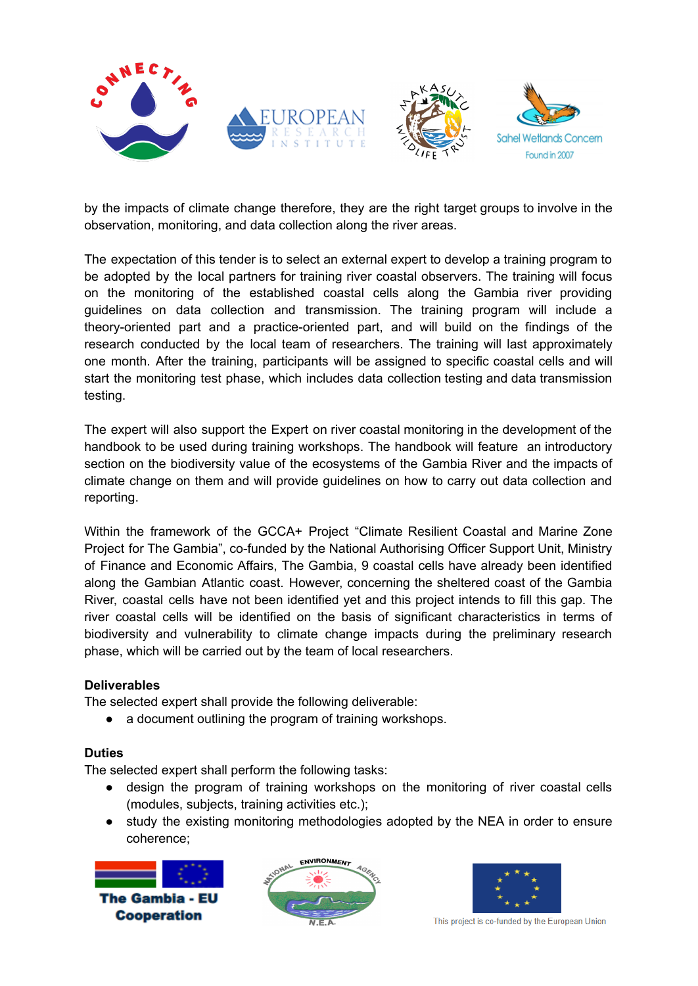

by the impacts of climate change therefore, they are the right target groups to involve in the observation, monitoring, and data collection along the river areas.

The expectation of this tender is to select an external expert to develop a training program to be adopted by the local partners for training river coastal observers. The training will focus on the monitoring of the established coastal cells along the Gambia river providing guidelines on data collection and transmission. The training program will include a theory-oriented part and a practice-oriented part, and will build on the findings of the research conducted by the local team of researchers. The training will last approximately one month. After the training, participants will be assigned to specific coastal cells and will start the monitoring test phase, which includes data collection testing and data transmission testing.

The expert will also support the Expert on river coastal monitoring in the development of the handbook to be used during training workshops. The handbook will feature an introductory section on the biodiversity value of the ecosystems of the Gambia River and the impacts of climate change on them and will provide guidelines on how to carry out data collection and reporting.

Within the framework of the GCCA+ Project "Climate Resilient Coastal and Marine Zone Project for The Gambia", co-funded by the National Authorising Officer Support Unit, Ministry of Finance and Economic Affairs, The Gambia, 9 coastal cells have already been identified along the Gambian Atlantic coast. However, concerning the sheltered coast of the Gambia River, coastal cells have not been identified yet and this project intends to fill this gap. The river coastal cells will be identified on the basis of significant characteristics in terms of biodiversity and vulnerability to climate change impacts during the preliminary research phase, which will be carried out by the team of local researchers.

#### **Deliverables**

The selected expert shall provide the following deliverable:

• a document outlining the program of training workshops.

# **Duties**

The selected expert shall perform the following tasks:

- design the program of training workshops on the monitoring of river coastal cells (modules, subjects, training activities etc.);
- study the existing monitoring methodologies adopted by the NEA in order to ensure coherence;







This project is co-funded by the European Union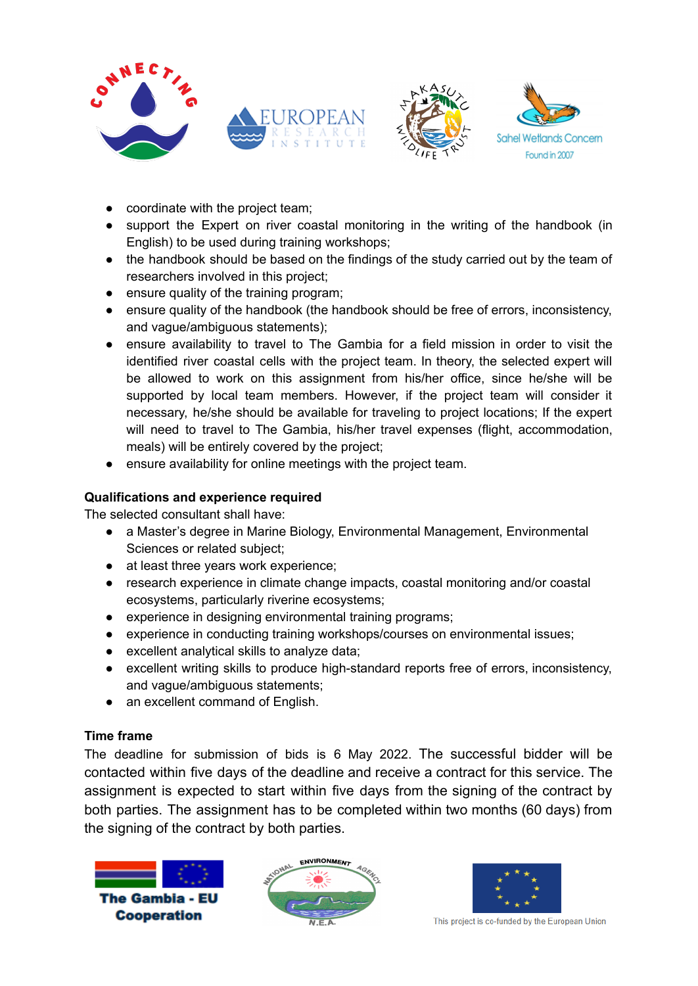



- coordinate with the project team;
- support the Expert on river coastal monitoring in the writing of the handbook (in English) to be used during training workshops;
- the handbook should be based on the findings of the study carried out by the team of researchers involved in this project;
- ensure quality of the training program;
- ensure quality of the handbook (the handbook should be free of errors, inconsistency, and vague/ambiguous statements);
- ensure availability to travel to The Gambia for a field mission in order to visit the identified river coastal cells with the project team. In theory, the selected expert will be allowed to work on this assignment from his/her office, since he/she will be supported by local team members. However, if the project team will consider it necessary, he/she should be available for traveling to project locations; If the expert will need to travel to The Gambia, his/her travel expenses (flight, accommodation, meals) will be entirely covered by the project;
- ensure availability for online meetings with the project team.

### **Qualifications and experience required**

The selected consultant shall have:

- a Master's degree in Marine Biology, Environmental Management, Environmental Sciences or related subject;
- at least three years work experience;
- research experience in climate change impacts, coastal monitoring and/or coastal ecosystems, particularly riverine ecosystems;
- experience in designing environmental training programs;
- experience in conducting training workshops/courses on environmental issues;
- excellent analytical skills to analyze data;
- excellent writing skills to produce high-standard reports free of errors, inconsistency, and vague/ambiguous statements;
- an excellent command of English.

#### **Time frame**

The deadline for submission of bids is 6 May 2022. The successful bidder will be contacted within five days of the deadline and receive a contract for this service. The assignment is expected to start within five days from the signing of the contract by both parties. The assignment has to be completed within two months (60 days) from the signing of the contract by both parties.







This project is co-funded by the European Union